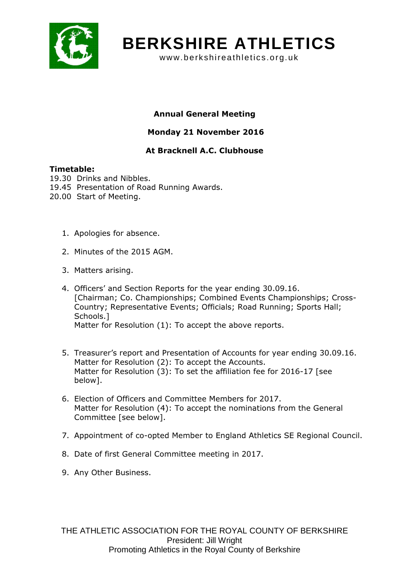

# **BERKSHIRE ATHLETICS**

www.berkshireathletics.org.uk

## Annual General Meeting

## Monday 21 November 2016

## At Bracknell A.C. Clubhouse

### Timetable:

- 19.30 Drinks and Nibbles.
- 19.45 Presentation of Road Running Awards.
- 20.00 Start of Meeting.
	- 1. Apologies for absence.
	- 2. Minutes of the 2015 AGM.
	- 3. Matters arising.
	- 4. Officers' and Section Reports for the year ending 30.09.16. [Chairman; Co. Championships; Combined Events Championships; Cross-Country; Representative Events; Officials; Road Running; Sports Hall; Schools.] Matter for Resolution (1): To accept the above reports.
	- 5. Treasurer's report and Presentation of Accounts for year ending 30.09.16. Matter for Resolution (2): To accept the Accounts. Matter for Resolution (3): To set the affiliation fee for 2016-17 [see below].
	- 6. Election of Officers and Committee Members for 2017. Matter for Resolution (4): To accept the nominations from the General Committee [see below].
	- 7. Appointment of co-opted Member to England Athletics SE Regional Council.
	- 8. Date of first General Committee meeting in 2017.
	- 9. Any Other Business.